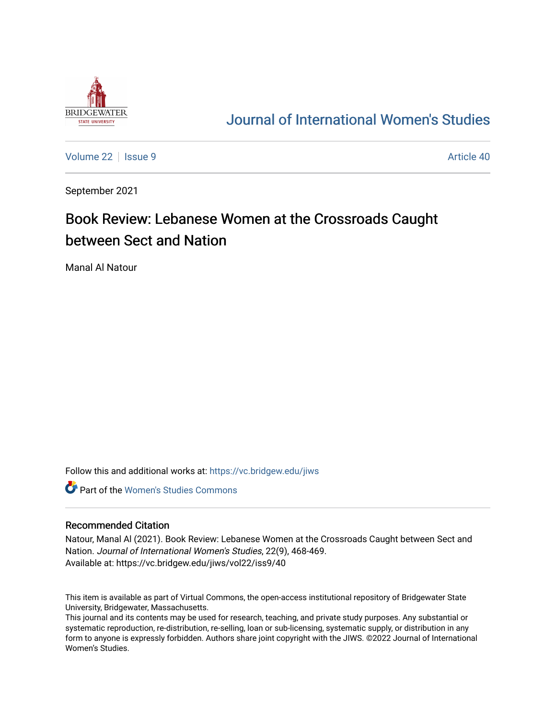

## [Journal of International Women's Studies](https://vc.bridgew.edu/jiws)

[Volume 22](https://vc.bridgew.edu/jiws/vol22) | [Issue 9](https://vc.bridgew.edu/jiws/vol22/iss9) Article 40

September 2021

# Book Review: Lebanese Women at the Crossroads Caught between Sect and Nation

Manal Al Natour

Follow this and additional works at: [https://vc.bridgew.edu/jiws](https://vc.bridgew.edu/jiws?utm_source=vc.bridgew.edu%2Fjiws%2Fvol22%2Fiss9%2F40&utm_medium=PDF&utm_campaign=PDFCoverPages)

**C** Part of the Women's Studies Commons

#### Recommended Citation

Natour, Manal Al (2021). Book Review: Lebanese Women at the Crossroads Caught between Sect and Nation. Journal of International Women's Studies, 22(9), 468-469. Available at: https://vc.bridgew.edu/jiws/vol22/iss9/40

This item is available as part of Virtual Commons, the open-access institutional repository of Bridgewater State University, Bridgewater, Massachusetts.

This journal and its contents may be used for research, teaching, and private study purposes. Any substantial or systematic reproduction, re-distribution, re-selling, loan or sub-licensing, systematic supply, or distribution in any form to anyone is expressly forbidden. Authors share joint copyright with the JIWS. ©2022 Journal of International Women's Studies.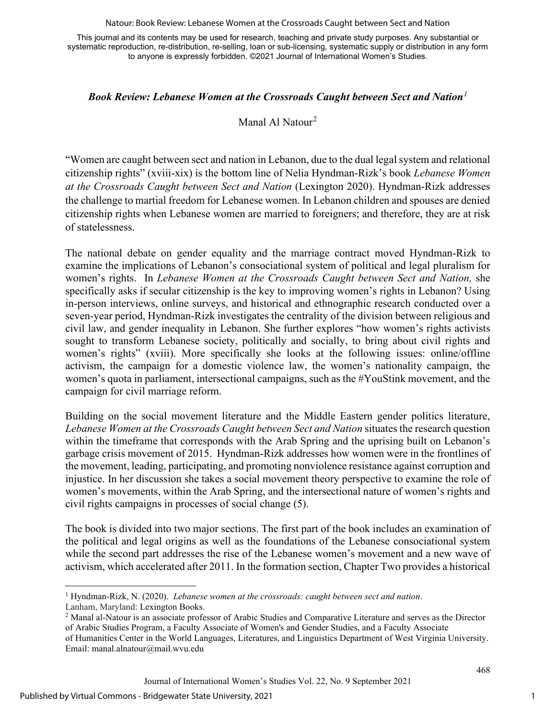Natour: Book Review: Lebanese Women at the Crossroads Caught between Sect and Nation

This journal and its contents may be used for research, teaching and private study purposes. Any substantial or systematic reproduction, re-distribution, re-selling, loan or sub-licensing, systematic supply or distribution in any form to anyone is expressly forbidden. ©2021 Journal of International Women's Studies.

### *Book Review: Lebanese Women at the Crossroads Caught between Sect and Nation[1](#page-1-0)*

## Manal Al Natour[2](#page-1-1)

"Women are caught between sect and nation in Lebanon, due to the dual legal system and relational citizenship rights" (xviii-xix) is the bottom line of Nelia Hyndman-Rizk's book *Lebanese Women at the Crossroads Caught between Sect and Nation* (Lexington 2020). Hyndman-Rizk addresses the challenge to martial freedom for Lebanese women. In Lebanon children and spouses are denied citizenship rights when Lebanese women are married to foreigners; and therefore, they are at risk of statelessness.

The national debate on gender equality and the marriage contract moved Hyndman-Rizk to examine the implications of Lebanon's consociational system of political and legal pluralism for women's rights. In *Lebanese Women at the Crossroads Caught between Sect and Nation,* she specifically asks if secular citizenship is the key to improving women's rights in Lebanon? Using in-person interviews, online surveys, and historical and ethnographic research conducted over a seven-year period, Hyndman-Rizk investigates the centrality of the division between religious and civil law, and gender inequality in Lebanon. She further explores "how women's rights activists sought to transform Lebanese society, politically and socially, to bring about civil rights and women's rights" (xviii). More specifically she looks at the following issues: online/offline activism, the campaign for a domestic violence law, the women's nationality campaign, the women's quota in parliament, intersectional campaigns, such as the #YouStink movement, and the campaign for civil marriage reform.

Building on the social movement literature and the Middle Eastern gender politics literature, *Lebanese Women at the Crossroads Caught between Sect and Nation* situates the research question within the timeframe that corresponds with the Arab Spring and the uprising built on Lebanon's garbage crisis movement of 2015. Hyndman-Rizk addresses how women were in the frontlines of the movement, leading, participating, and promoting nonviolence resistance against corruption and injustice. In her discussion she takes a social movement theory perspective to examine the role of women's movements, within the Arab Spring, and the intersectional nature of women's rights and civil rights campaigns in processes of social change (5).

The book is divided into two major sections. The first part of the book includes an examination of the political and legal origins as well as the foundations of the Lebanese consociational system while the second part addresses the rise of the Lebanese women's movement and a new wave of activism, which accelerated after 2011. In the formation section, Chapter Two provides a historical

468

<span id="page-1-0"></span><sup>1</sup> Hyndman-Rizk, N. (2020). *Lebanese women at the crossroads: caught between sect and nation*. Lanham, Maryland: Lexington Books.

<span id="page-1-1"></span><sup>2</sup> Manal al-Natour is an associate professor of Arabic Studies and Comparative Literature and serves as the Director of Arabic Studies Program, a Faculty Associate of Women's and Gender Studies, and a Faculty Associate

of Humanities Center in the World Languages, Literatures, and Linguistics Department of West Virginia University. Email: manal.alnatour@mail.wvu.edu